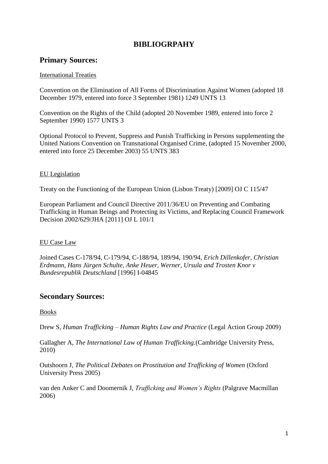# **BIBLIOGRPAHY**

# **Primary Sources:**

### International Treaties

Convention on the Elimination of All Forms of Discrimination Against Women (adopted 18 December 1979, entered into force 3 September 1981) 1249 UNTS 13

Convention on the Rights of the Child (adopted 20 November 1989, entered into force 2 September 1990) 1577 UNTS 3

Optional Protocol to Prevent, Suppress and Punish Trafficking in Persons supplementing the United Nations Convention on Transnational Organised Crime, (adopted 15 November 2000, entered into force 25 December 2003) 55 UNTS 383

### EU Legislation

Treaty on the Functioning of the European Union (Lisbon Treaty) [2009] OJ C 115/47

European Parliament and Council Directive 2011/36/EU on Preventing and Combating Trafficking in Human Beings and Protecting its Victims, and Replacing Council Framework Decision 2002/629/JHA [2011] OJ L 101/1

## EU Case Law

Joined Cases C-178/94, C-179/94, C-188/94, 189/94, 190/94, *Erich Dillenkofer, Christian Erdmann, Hans Jürgen Schulte, Anke Heuer, Werner, Ursula and Trosten Knor v Bundesrepublik Deutschland* [1996] I-04845

# **Secondary Sources:**

## Books

Drew S, *Human Trafficking – Human Rights Law and Practice* (Legal Action Group 2009)

Gallagher A, *The International Law of Human Trafficking.*(Cambridge University Press, 2010)

Outshoorn J, *The Political Debates on Prostitution and Trafficking of Women* (Oxford University Press 2005)

van den Anker C and Doomernik J, *Trafficking and Women's Rights* (Palgrave Macmillan 2006)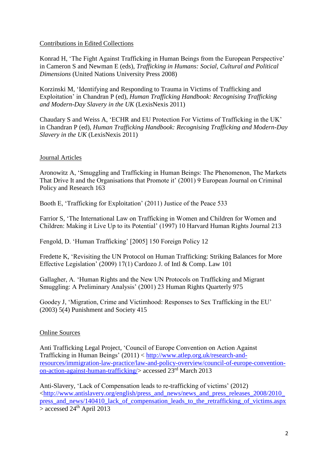### Contributions in Edited Collections

Konrad H, 'The Fight Against Trafficking in Human Beings from the European Perspective' in Cameron S and Newman E (eds), *Trafficking in Humans: Social, Cultural and Political Dimensions* (United Nations University Press 2008)

Korzinski M, 'Identifying and Responding to Trauma in Victims of Trafficking and Exploitation' in Chandran P (ed), *Human Trafficking Handbook: Recognising Trafficking and Modern-Day Slavery in the UK* (LexisNexis 2011)

Chaudary S and Weiss A, 'ECHR and EU Protection For Victims of Trafficking in the UK' in Chandran P (ed), *Human Trafficking Handbook: Recognising Trafficking and Modern-Day Slavery in the UK* (LexisNexis 2011)

## Journal Articles

Aronowitz A, 'Smuggling and Trafficking in Human Beings: The Phenomenon, The Markets That Drive It and the Organisations that Promote it' (2001) 9 European Journal on Criminal Policy and Research 163

Booth E, 'Trafficking for Exploitation' (2011) Justice of the Peace 533

Farrior S, 'The International Law on Trafficking in Women and Children for Women and Children: Making it Live Up to its Potential' (1997) 10 Harvard Human Rights Journal 213

Fengold, D. 'Human Trafficking' [2005] 150 Foreign Policy 12

Fredette K, 'Revisiting the UN Protocol on Human Trafficking: Striking Balances for More Effective Legislation' (2009) 17(1) Cardozo J. of Intl & Comp. Law 101

Gallagher, A. 'Human Rights and the New UN Protocols on Trafficking and Migrant Smuggling: A Preliminary Analysis' (2001) 23 Human Rights Quarterly 975

Goodey J, 'Migration, Crime and Victimhood: Responses to Sex Trafficking in the EU' (2003) 5(4) Punishment and Society 415

## Online Sources

Anti Trafficking Legal Project, 'Council of Europe Convention on Action Against Trafficking in Human Beings' (2011) < [http://www.atlep.org.uk/research-and](http://www.atlep.org.uk/research-and-resources/immigration-law-practice/law-and-policy-overview/council-of-europe-convention-on-action-against-human-trafficking/)[resources/immigration-law-practice/law-and-policy-overview/council-of-europe-convention](http://www.atlep.org.uk/research-and-resources/immigration-law-practice/law-and-policy-overview/council-of-europe-convention-on-action-against-human-trafficking/)[on-action-against-human-trafficking/>](http://www.atlep.org.uk/research-and-resources/immigration-law-practice/law-and-policy-overview/council-of-europe-convention-on-action-against-human-trafficking/) accessed 23rd March 2013

Anti-Slavery, 'Lack of Compensation leads to re-trafficking of victims' (2012) [<http://www.antislavery.org/english/press\\_and\\_news/news\\_and\\_press\\_releases\\_2008/2010\\_](http://www.antislavery.org/english/press_and_news/news_and_press_releases_2008/2010_press_and_news/140410_lack_of_compensation_leads_to_the_retrafficking_of_victims.aspx) [press\\_and\\_news/140410\\_lack\\_of\\_compensation\\_leads\\_to\\_the\\_retrafficking\\_of\\_victims.aspx](http://www.antislavery.org/english/press_and_news/news_and_press_releases_2008/2010_press_and_news/140410_lack_of_compensation_leads_to_the_retrafficking_of_victims.aspx)  $>$  accessed 24<sup>th</sup> April 2013